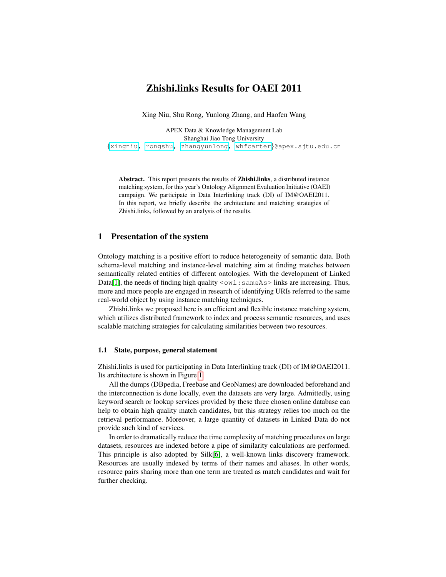# Zhishi.links Results for OAEI 2011

Xing Niu, Shu Rong, Yunlong Zhang, and Haofen Wang

APEX Data & Knowledge Management Lab Shanghai Jiao Tong University {[xingniu,](mailto:xingniu@apex.sjtu.edu.cn) [rongshu,](mailto:rongshu@apex.sjtu.edu.cn) [zhangyunlong,](mailto:zhangyunlong@apex.sjtu.edu.cn) [whfcarter](mailto:whfcarter@apex.sjtu.edu.cn)}@apex.sjtu.edu.cn

Abstract. This report presents the results of Zhishi.links, a distributed instance matching system, for this year's Ontology Alignment Evaluation Initiative (OAEI) campaign. We participate in Data Interlinking track (DI) of IM@OAEI2011. In this report, we briefly describe the architecture and matching strategies of Zhishi.links, followed by an analysis of the results.

## 1 Presentation of the system

Ontology matching is a positive effort to reduce heterogeneity of semantic data. Both schema-level matching and instance-level matching aim at finding matches between semantically related entities of different ontologies. With the development of Linked Data[\[1\]](#page-6-0), the needs of finding high quality  $\langle \text{ow1} : \text{sameAs} \rangle$  links are increasing. Thus, more and more people are engaged in research of identifying URIs referred to the same real-world object by using instance matching techniques.

Zhishi.links we proposed here is an efficient and flexible instance matching system, which utilizes distributed framework to index and process semantic resources, and uses scalable matching strategies for calculating similarities between two resources.

#### 1.1 State, purpose, general statement

Zhishi.links is used for participating in Data Interlinking track (DI) of IM@OAEI2011. Its architecture is shown in Figure [1.](#page-1-0)

All the dumps (DBpedia, Freebase and GeoNames) are downloaded beforehand and the interconnection is done locally, even the datasets are very large. Admittedly, using keyword search or lookup services provided by these three chosen online database can help to obtain high quality match candidates, but this strategy relies too much on the retrieval performance. Moreover, a large quantity of datasets in Linked Data do not provide such kind of services.

In order to dramatically reduce the time complexity of matching procedures on large datasets, resources are indexed before a pipe of similarity calculations are performed. This principle is also adopted by Silk[\[6\]](#page-6-1), a well-known links discovery framework. Resources are usually indexed by terms of their names and aliases. In other words, resource pairs sharing more than one term are treated as match candidates and wait for further checking.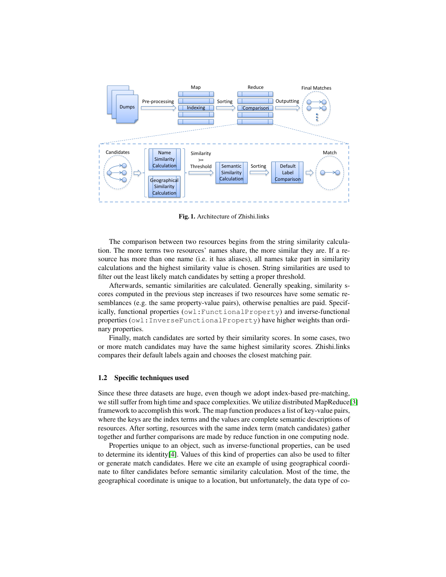

<span id="page-1-0"></span>Fig. 1. Architecture of Zhishi.links

The comparison between two resources begins from the string similarity calculation. The more terms two resources' names share, the more similar they are. If a resource has more than one name (i.e. it has aliases), all names take part in similarity calculations and the highest similarity value is chosen. String similarities are used to filter out the least likely match candidates by setting a proper threshold.

Afterwards, semantic similarities are calculated. Generally speaking, similarity scores computed in the previous step increases if two resources have some sematic resemblances (e.g. the same property-value pairs), otherwise penalties are paid. Specifically, functional properties (owl:FunctionalProperty) and inverse-functional properties (owl:InverseFunctionalProperty) have higher weights than ordinary properties.

Finally, match candidates are sorted by their similarity scores. In some cases, two or more match candidates may have the same highest similarity scores. Zhishi.links compares their default labels again and chooses the closest matching pair.

#### 1.2 Specific techniques used

Since these three datasets are huge, even though we adopt index-based pre-matching, we still suffer from high time and space complexities. We utilize distributed MapReduce[\[3\]](#page-6-2) framework to accomplish this work. The map function produces a list of key-value pairs, where the keys are the index terms and the values are complete semantic descriptions of resources. After sorting, resources with the same index term (match candidates) gather together and further comparisons are made by reduce function in one computing node.

Properties unique to an object, such as inverse-functional properties, can be used to determine its identity[\[4\]](#page-6-3). Values of this kind of properties can also be used to filter or generate match candidates. Here we cite an example of using geographical coordinate to filter candidates before semantic similarity calculation. Most of the time, the geographical coordinate is unique to a location, but unfortunately, the data type of co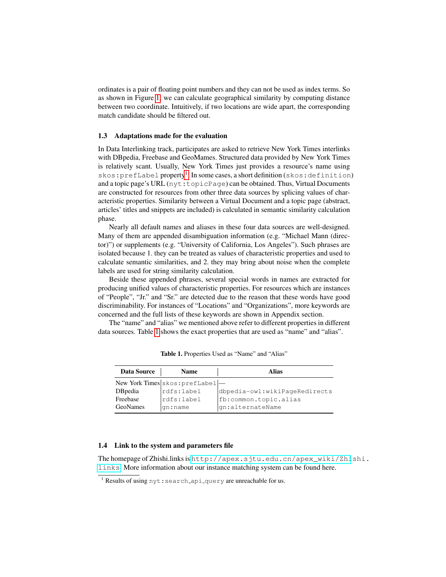ordinates is a pair of floating point numbers and they can not be used as index terms. So as shown in Figure [1,](#page-1-0) we can calculate geographical similarity by computing distance between two coordinate. Intuitively, if two locations are wide apart, the corresponding match candidate should be filtered out.

#### <span id="page-2-2"></span>1.3 Adaptations made for the evaluation

In Data Interlinking track, participates are asked to retrieve New York Times interlinks with DBpedia, Freebase and GeoMames. Structured data provided by New York Times is relatively scant. Usually, New York Times just provides a resource's name using skos: prefLabel property<sup>[1](#page-2-0)</sup>. In some cases, a short definition (skos: definition) and a topic page's URL (nyt:topicPage) can be obtained. Thus, Virtual Documents are constructed for resources from other three data sources by splicing values of characteristic properties. Similarity between a Virtual Document and a topic page (abstract, articles' titles and snippets are included) is calculated in semantic similarity calculation phase.

Nearly all default names and aliases in these four data sources are well-designed. Many of them are appended disambiguation information (e.g. "Michael Mann (director)") or supplements (e.g. "University of California, Los Angeles"). Such phrases are isolated because 1. they can be treated as values of characteristic properties and used to calculate semantic similarities, and 2. they may bring about noise when the complete labels are used for string similarity calculation.

Beside these appended phrases, several special words in names are extracted for producing unified values of characteristic properties. For resources which are instances of "People", "Jr." and "Sr." are detected due to the reason that these words have good discriminability. For instances of "Locations" and "Organizations", more keywords are concerned and the full lists of these keywords are shown in Appendix section.

The "name" and "alias" we mentioned above refer to different properties in different data sources. Table [1](#page-2-1) shows the exact properties that are used as "name" and "alias".

| <b>Data Source</b> | <b>Name</b>                      | Alias                         |
|--------------------|----------------------------------|-------------------------------|
|                    | New York Times skos: prefLabel - |                               |
| DBpedia            | rdfs:label                       | dbpedia-owl:wikiPageRedirects |
| Freebase           | rdfs:label                       | fb:common.topic.alias         |
| <b>GeoNames</b>    | gn:name                          | gn:alternateName              |

<span id="page-2-1"></span>Table 1. Properties Used as "Name" and "Alias"

#### 1.4 Link to the system and parameters file

The homepage of Zhishi.links is [http://apex.sjtu.edu.cn/apex\\_wiki/Zhi](http://apex.sjtu.edu.cn/apex_wiki/Zhishi.links)shi. [links](http://apex.sjtu.edu.cn/apex_wiki/Zhishi.links). More information about our instance matching system can be found here.

<span id="page-2-0"></span><sup>&</sup>lt;sup>1</sup> Results of using  $nyt:search$ <sub>-api-query</sub> are unreachable for us.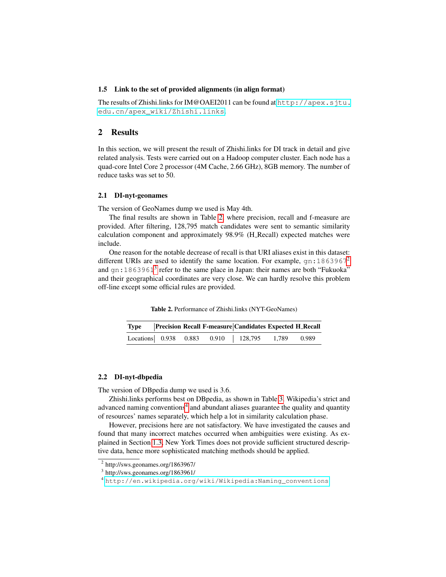#### 1.5 Link to the set of provided alignments (in align format)

The results of Zhishi.links for IM@OAEI2011 can be found at [http://apex.sjtu.](http://apex.sjtu.edu.cn/apex_wiki/Zhishi.links) [edu.cn/apex\\_wiki/Zhishi.links](http://apex.sjtu.edu.cn/apex_wiki/Zhishi.links).

## 2 Results

In this section, we will present the result of Zhishi.links for DI track in detail and give related analysis. Tests were carried out on a Hadoop computer cluster. Each node has a quad-core Intel Core 2 processor (4M Cache, 2.66 GHz), 8GB memory. The number of reduce tasks was set to 50.

#### 2.1 DI-nyt-geonames

The version of GeoNames dump we used is May 4th.

The final results are shown in Table [2,](#page-3-0) where precision, recall and f-measure are provided. After filtering, 128,795 match candidates were sent to semantic similarity calculation component and approximately 98.9% (H Recall) expected matches were include.

One reason for the notable decrease of recall is that URI aliases exist in this dataset: different URIs are used to identify the same location. For example,  $qn:1863967^2$  $qn:1863967^2$ and gn:186[3](#page-3-2)961<sup>3</sup> refer to the same place in Japan: their names are both "Fukuoka" and their geographical coordinates are very close. We can hardly resolve this problem off-line except some official rules are provided.

<span id="page-3-0"></span>Table 2. Performance of Zhishi.links (NYT-GeoNames)

|  |  | Type   Precision Recall F-measure   Candidates Expected H_Recall |  |
|--|--|------------------------------------------------------------------|--|
|  |  | Locations 0.938 0.883 0.910 128,795 1,789 0.989                  |  |

#### 2.2 DI-nyt-dbpedia

The version of DBpedia dump we used is 3.6.

Zhishi.links performs best on DBpedia, as shown in Table [3.](#page-4-0) Wikipedia's strict and advanced naming conventions<sup>[4](#page-3-3)</sup> and abundant aliases guarantee the quality and quantity of resources' names separately, which help a lot in similarity calculation phase.

However, precisions here are not satisfactory. We have investigated the causes and found that many incorrect matches occurred when ambiguities were existing. As explained in Section [1.3,](#page-2-2) New York Times does not provide sufficient structured descriptive data, hence more sophisticated matching methods should be applied.

<span id="page-3-1"></span><sup>&</sup>lt;sup>2</sup> http://sws.geonames.org/1863967/

<span id="page-3-2"></span><sup>3</sup> http://sws.geonames.org/1863961/

<span id="page-3-3"></span><sup>4</sup> [http://en.wikipedia.org/wiki/Wikipedia:Naming\\_conventions](http://en.wikipedia.org/wiki/Wikipedia:Naming_conventions)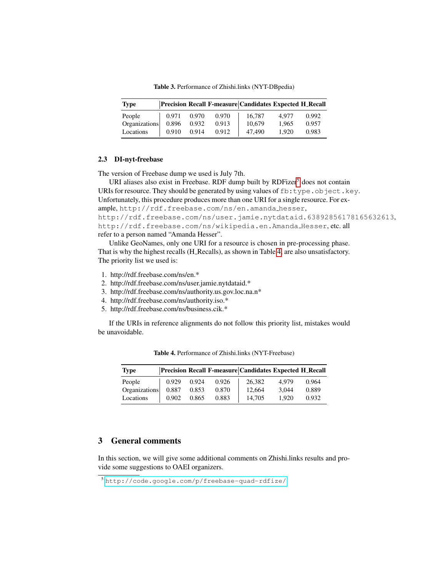<span id="page-4-0"></span>Table 3. Performance of Zhishi.links (NYT-DBpedia)

| <b>Type</b>   |       |       |       | Precision Recall F-measure Candidates Expected H_Recall |       |       |
|---------------|-------|-------|-------|---------------------------------------------------------|-------|-------|
| People        | 0.971 | 0.970 | 0.970 | 16.787                                                  | 4.977 | 0.992 |
| Organizations | 0.896 | 0.932 | 0.913 | 10,679                                                  | 1.965 | 0.957 |
| Locations     | 0.910 | 0.914 | 0.912 | 47,490                                                  | 1.920 | 0.983 |

#### 2.3 DI-nyt-freebase

The version of Freebase dump we used is July 7th.

URI aliases also exist in Freebase. RDF dump built by  $RDFizer<sup>5</sup>$  $RDFizer<sup>5</sup>$  $RDFizer<sup>5</sup>$  does not contain URIs for resource. They should be generated by using values of  $fb:type.$  object.key. Unfortunately, this procedure produces more than one URI for a single resource. For example, http://rdf.freebase.com/ns/en.amanda hesser, http://rdf.freebase.com/ns/user.jamie.nytdataid.63892856178165632613, http://rdf.freebase.com/ns/wikipedia.en.Amanda Hesser, etc. all refer to a person named "Amanda Hesser".

Unlike GeoNames, only one URI for a resource is chosen in pre-processing phase. That is why the highest recalls (H Recalls), as shown in Table [4,](#page-4-2) are also unsatisfactory. The priority list we used is:

- 1. http://rdf.freebase.com/ns/en.\*
- 2. http://rdf.freebase.com/ns/user.jamie.nytdataid.\*
- 3. http://rdf.freebase.com/ns/authority.us.gov.loc.na.n\*
- 4. http://rdf.freebase.com/ns/authority.iso.\*
- 5. http://rdf.freebase.com/ns/business.cik.\*

If the URIs in reference alignments do not follow this priority list, mistakes would be unavoidable.

| <b>Type</b>   |             |       |       | Precision Recall F-measure Candidates Expected H_Recall |       |       |
|---------------|-------------|-------|-------|---------------------------------------------------------|-------|-------|
| People        | 0.929       | 0.924 | 0.926 | 26.382                                                  | 4.979 | 0.964 |
| Organizations | 0.887 0.853 |       | 0.870 | 12.664                                                  | 3.044 | 0.889 |
| Locations     | 0.902       | 0.865 | 0.883 | 14,705                                                  | 1.920 | 0.932 |

<span id="page-4-2"></span>Table 4. Performance of Zhishi.links (NYT-Freebase)

# 3 General comments

In this section, we will give some additional comments on Zhishi.links results and provide some suggestions to OAEI organizers.

<span id="page-4-1"></span><sup>5</sup> <http://code.google.com/p/freebase-quad-rdfize/>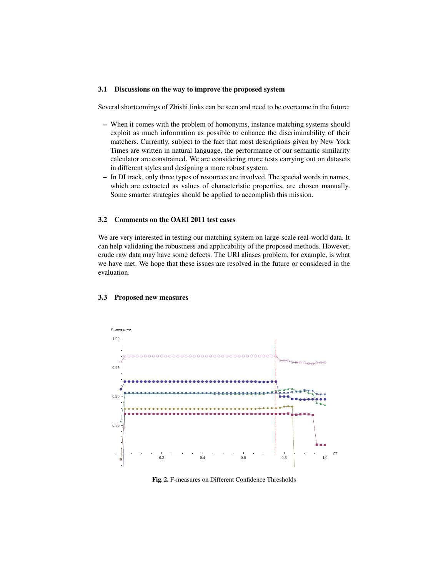#### 3.1 Discussions on the way to improve the proposed system

Several shortcomings of Zhishi.links can be seen and need to be overcome in the future:

- When it comes with the problem of homonyms, instance matching systems should exploit as much information as possible to enhance the discriminability of their matchers. Currently, subject to the fact that most descriptions given by New York Times are written in natural language, the performance of our semantic similarity calculator are constrained. We are considering more tests carrying out on datasets in different styles and designing a more robust system.
- In DI track, only three types of resources are involved. The special words in names, which are extracted as values of characteristic properties, are chosen manually. Some smarter strategies should be applied to accomplish this mission.

#### 3.2 Comments on the OAEI 2011 test cases

We are very interested in testing our matching system on large-scale real-world data. It can help validating the robustness and applicability of the proposed methods. However, crude raw data may have some defects. The URI aliases problem, for example, is what we have met. We hope that these issues are resolved in the future or considered in the evaluation.



#### 3.3 Proposed new measures

<span id="page-5-0"></span>Fig. 2. F-measures on Different Confidence Thresholds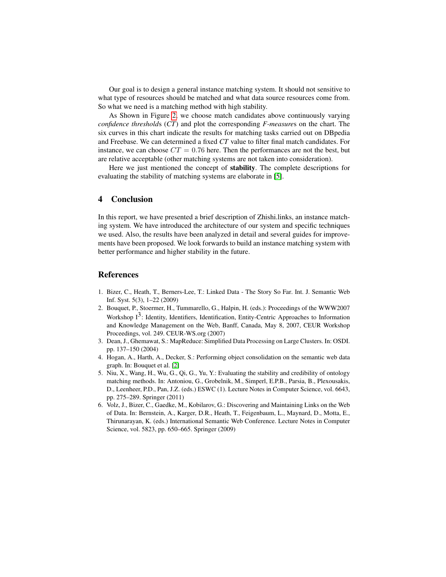Our goal is to design a general instance matching system. It should not sensitive to what type of resources should be matched and what data source resources come from. So what we need is a matching method with high stability.

As Shown in Figure [2,](#page-5-0) we choose match candidates above continuously varying *confidence threshold*s (*CT*) and plot the corresponding *F-measure*s on the chart. The six curves in this chart indicate the results for matching tasks carried out on DBpedia and Freebase. We can determined a fixed *CT* value to filter final match candidates. For instance, we can choose  $CT = 0.76$  here. Then the performances are not the best, but are relative acceptable (other matching systems are not taken into consideration).

Here we just mentioned the concept of stability. The complete descriptions for evaluating the stability of matching systems are elaborate in [\[5\]](#page-6-4).

## 4 Conclusion

In this report, we have presented a brief description of Zhishi.links, an instance matching system. We have introduced the architecture of our system and specific techniques we used. Also, the results have been analyzed in detail and several guides for improvements have been proposed. We look forwards to build an instance matching system with better performance and higher stability in the future.

#### References

- <span id="page-6-0"></span>1. Bizer, C., Heath, T., Berners-Lee, T.: Linked Data - The Story So Far. Int. J. Semantic Web Inf. Syst. 5(3), 1–22 (2009)
- <span id="page-6-5"></span>2. Bouquet, P., Stoermer, H., Tummarello, G., Halpin, H. (eds.): Proceedings of the WWW2007 Workshop  $I^3$ : Identity, Identifiers, Identification, Entity-Centric Approaches to Information and Knowledge Management on the Web, Banff, Canada, May 8, 2007, CEUR Workshop Proceedings, vol. 249. CEUR-WS.org (2007)
- <span id="page-6-2"></span>3. Dean, J., Ghemawat, S.: MapReduce: Simplified Data Processing on Large Clusters. In: OSDI. pp. 137–150 (2004)
- <span id="page-6-3"></span>4. Hogan, A., Harth, A., Decker, S.: Performing object consolidation on the semantic web data graph. In: Bouquet et al. [\[2\]](#page-6-5)
- <span id="page-6-4"></span>5. Niu, X., Wang, H., Wu, G., Qi, G., Yu, Y.: Evaluating the stability and credibility of ontology matching methods. In: Antoniou, G., Grobelnik, M., Simperl, E.P.B., Parsia, B., Plexousakis, D., Leenheer, P.D., Pan, J.Z. (eds.) ESWC (1). Lecture Notes in Computer Science, vol. 6643, pp. 275–289. Springer (2011)
- <span id="page-6-1"></span>6. Volz, J., Bizer, C., Gaedke, M., Kobilarov, G.: Discovering and Maintaining Links on the Web of Data. In: Bernstein, A., Karger, D.R., Heath, T., Feigenbaum, L., Maynard, D., Motta, E., Thirunarayan, K. (eds.) International Semantic Web Conference. Lecture Notes in Computer Science, vol. 5823, pp. 650–665. Springer (2009)